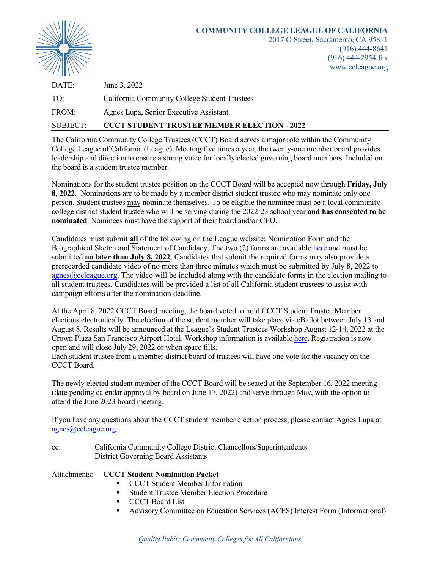

| DATE:    | June 3, 2022                                       |
|----------|----------------------------------------------------|
| TO:      | California Community College Student Trustees      |
| FROM:    | Agnes Lupa, Senior Executive Assistant             |
| SUBJECT: | <b>CCCT STUDENT TRUSTEE MEMBER ELECTION - 2022</b> |

The California Community College Trustees (CCCT) Board serves a major role within the Community College League of California (League). Meeting five times a year, the twenty-one member board provides leadership and direction to ensure a strong voice for locally elected governing board members. Included on the board is a student trustee member.

Nominations for the student trustee position on the CCCT Board will be accepted now through **Friday, July 8, 2022**. Nominations are to be made by a member district student trustee who may nominate only one person. Student trustees may nominate themselves. To be eligible the nominee must be a local community college district student trustee who will be serving during the 2022-23 school year **and has consented to be nominated**. Nominees must have the support of their board and/or CEO.

Candidates must submit **all** of the following on the League website: Nomination Form and the Biographical Sketch and Statement of Candidacy. The two (2) forms are availabl[e here](https://www.ccleague.org/about-us/california-community-college-trustees-ccct) and must be submitted **no later than July 8, 2022**. Candidates that submit the required forms may also provide a prerecorded candidate video of no more than three minutes which must be submitted by July 8, 2022 to  $\alpha$ gnes $\alpha$ ccleague.org. The video will be included along with the candidate forms in the election mailing to all student trustees. Candidates will be provided a list of all California student trustees to assist with campaign efforts after the nomination deadline.

At the April 8, 2022 CCCT Board meeting, the board voted to hold CCCT Student Trustee Member elections electronically. The election of the student member will take place via eBallot between July 13 and August 8. Results will be announced at the League's Student Trustees Workshop August 12-14, 2022 at the Crown Plaza San Francisco Airport Hotel. Workshop information is available [here.](https://ccleague.org/event-calendar/2022-student-trustees-workshop) Registration is now open and will close July 29, 2022 or when space fills.

Each student trustee from a member district board of trustees will have one vote for the vacancy on the CCCT Board.

The newly elected student member of the CCCT Board will be seated at the September 16, 2022 meeting (date pending calendar approval by board on June 17, 2022) and serve through May, with the option to attend the June 2023 board meeting.

If you have any questions about the CCCT student member election process, please contact Agnes Lupa at [agnes@ccleague.org.](mailto:agnes@ccleague.org)

cc: California Community College District Chancellors/Superintendents District Governing Board Assistants

### Attachments: **CCCT Student Nomination Packet**

- CCCT Student Member Information
- Student Trustee Member Election Procedure
- **CCCT** Board List
- Advisory Committee on Education Services (ACES) Interest Form (Informational)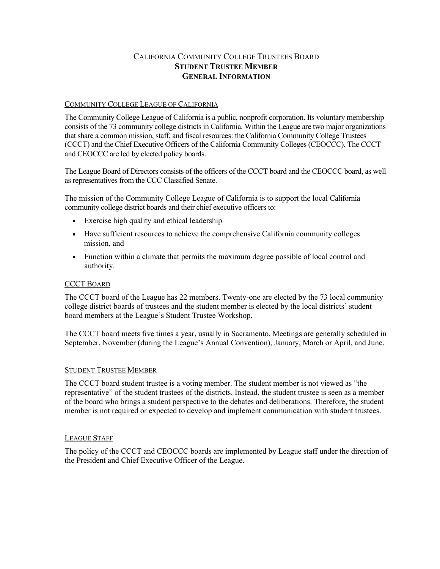## CALIFORNIA COMMUNITY COLLEGE TRUSTEES BOARD **STUDENT TRUSTEE MEMBER GENERAL INFORMATION**

#### COMMUNITY COLLEGE LEAGUE OF CALIFORNIA

The Community College League of California is a public, nonprofit corporation. Its voluntary membership consists of the 73 community college districts in California. Within the League are two major organizations that share a common mission, staff, and fiscal resources: the California Community College Trustees (CCCT) and the Chief Executive Officers of the California Community Colleges (CEOCCC). The CCCT and CEOCCC are led by elected policy boards.

The League Board of Directors consists of the officers of the CCCT board and the CEOCCC board, as well as representatives from the CCC Classified Senate.

The mission of the Community College League of California is to support the local California community college district boards and their chief executive officers to:

- Exercise high quality and ethical leadership
- Have sufficient resources to achieve the comprehensive California community colleges mission, and
- Function within a climate that permits the maximum degree possible of local control and authority.

#### CCCT BOARD

The CCCT board of the League has 22 members. Twenty-one are elected by the 73 local community college district boards of trustees and the student member is elected by the local districts' student board members at the League's Student Trustee Workshop.

The CCCT board meets five times a year, usually in Sacramento. Meetings are generally scheduled in September, November (during the League's Annual Convention), January, March or April, and June.

#### STUDENT TRUSTEE MEMBER

The CCCT board student trustee is a voting member. The student member is not viewed as "the representative" of the student trustees of the districts. Instead, the student trustee is seen as a member of the board who brings a student perspective to the debates and deliberations. Therefore, the student member is not required or expected to develop and implement communication with student trustees.

#### LEAGUE STAFF

The policy of the CCCT and CEOCCC boards are implemented by League staff under the direction of the President and Chief Executive Officer of the League.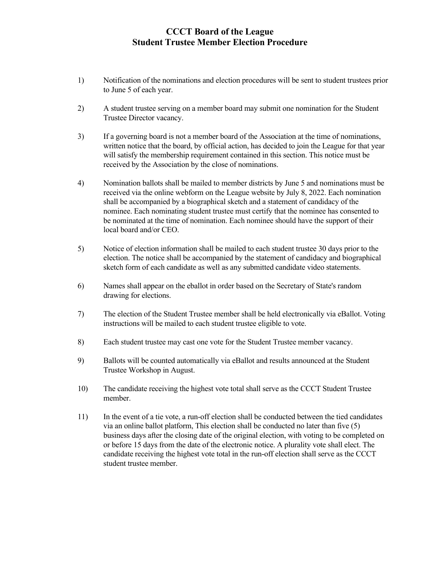## **CCCT Board of the League Student Trustee Member Election Procedure**

- 1) Notification of the nominations and election procedures will be sent to student trustees prior to June 5 of each year.
- 2) A student trustee serving on a member board may submit one nomination for the Student Trustee Director vacancy.
- 3) If a governing board is not a member board of the Association at the time of nominations, written notice that the board, by official action, has decided to join the League for that year will satisfy the membership requirement contained in this section. This notice must be received by the Association by the close of nominations.
- 4) Nomination ballots shall be mailed to member districts by June 5 and nominations must be received via the online webform on the League website by July 8, 2022. Each nomination shall be accompanied by a biographical sketch and a statement of candidacy of the nominee. Each nominating student trustee must certify that the nominee has consented to be nominated at the time of nomination. Each nominee should have the support of their local board and/or CEO.
- 5) Notice of election information shall be mailed to each student trustee 30 days prior to the election. The notice shall be accompanied by the statement of candidacy and biographical sketch form of each candidate as well as any submitted candidate video statements.
- 6) Names shall appear on the eballot in order based on the Secretary of State's random drawing for elections.
- 7) The election of the Student Trustee member shall be held electronically via eBallot. Voting instructions will be mailed to each student trustee eligible to vote.
- 8) Each student trustee may cast one vote for the Student Trustee member vacancy.
- 9) Ballots will be counted automatically via eBallot and results announced at the Student Trustee Workshop in August.
- 10) The candidate receiving the highest vote total shall serve as the CCCT Student Trustee member.
- 11) In the event of a tie vote, a run-off election shall be conducted between the tied candidates via an online ballot platform, This election shall be conducted no later than five (5) business days after the closing date of the original election, with voting to be completed on or before 15 days from the date of the electronic notice. A plurality vote shall elect. The candidate receiving the highest vote total in the run-off election shall serve as the CCCT student trustee member.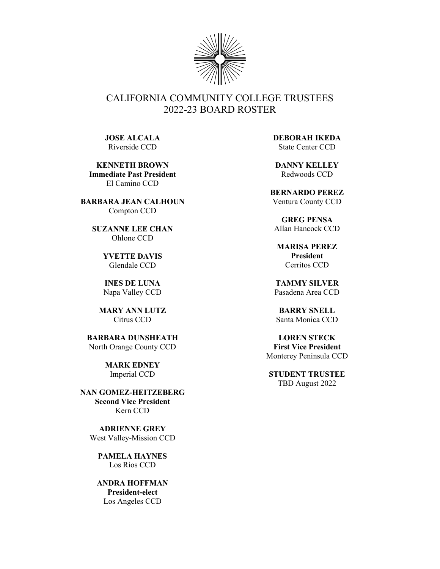

# CALIFORNIA COMMUNITY COLLEGE TRUSTEES 2022-23 BOARD ROSTER

**JOSE ALCALA** Riverside CCD

**KENNETH BROWN Immediate Past President** El Camino CCD

**BARBARA JEAN CALHOUN** Compton CCD

> **SUZANNE LEE CHAN** Ohlone CCD

> > **YVETTE DAVIS** Glendale CCD

**INES DE LUNA** Napa Valley CCD

**MARY ANN LUTZ** Citrus CCD

**BARBARA DUNSHEATH** North Orange County CCD

> **MARK EDNEY** Imperial CCD

**NAN GOMEZ-HEITZEBERG Second Vice President** Kern CCD

**ADRIENNE GREY** West Valley-Mission CCD

**PAMELA HAYNES** Los Rios CCD

**ANDRA HOFFMAN President-elect** Los Angeles CCD

**DEBORAH IKEDA** State Center CCD

**DANNY KELLEY** Redwoods CCD

**BERNARDO PEREZ** Ventura County CCD

**GREG PENSA** Allan Hancock CCD

**MARISA PEREZ President** Cerritos CCD

**TAMMY SILVER** Pasadena Area CCD

**BARRY SNELL** Santa Monica CCD

**LOREN STECK First Vice President** Monterey Peninsula CCD

**STUDENT TRUSTEE**  TBD August 2022